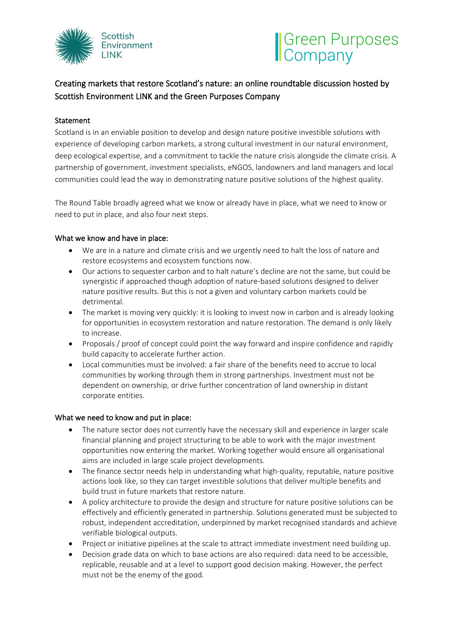

# Green Purposes

# Creating markets that restore Scotland's nature: an online roundtable discussion hosted by Scottish Environment LINK and the Green Purposes Company

## **Statement**

Scotland is in an enviable position to develop and design nature positive investible solutions with experience of developing carbon markets, a strong cultural investment in our natural environment, deep ecological expertise, and a commitment to tackle the nature crisis alongside the climate crisis. A partnership of government, investment specialists, eNGOS, landowners and land managers and local communities could lead the way in demonstrating nature positive solutions of the highest quality.

The Round Table broadly agreed what we know or already have in place, what we need to know or need to put in place, and also four next steps.

### What we know and have in place:

- We are in a nature and climate crisis and we urgently need to halt the loss of nature and restore ecosystems and ecosystem functions now.
- Our actions to sequester carbon and to halt nature's decline are not the same, but could be synergistic if approached though adoption of nature-based solutions designed to deliver nature positive results. But this is not a given and voluntary carbon markets could be detrimental.
- The market is moving very quickly: it is looking to invest now in carbon and is already looking for opportunities in ecosystem restoration and nature restoration. The demand is only likely to increase.
- Proposals / proof of concept could point the way forward and inspire confidence and rapidly build capacity to accelerate further action.
- Local communities must be involved: a fair share of the benefits need to accrue to local communities by working through them in strong partnerships. Investment must not be dependent on ownership, or drive further concentration of land ownership in distant corporate entities.

#### What we need to know and put in place:

- The nature sector does not currently have the necessary skill and experience in larger scale financial planning and project structuring to be able to work with the major investment opportunities now entering the market. Working together would ensure all organisational aims are included in large scale project developments.
- The finance sector needs help in understanding what high-quality, reputable, nature positive actions look like, so they can target investible solutions that deliver multiple benefits and build trust in future markets that restore nature.
- A policy architecture to provide the design and structure for nature positive solutions can be effectively and efficiently generated in partnership. Solutions generated must be subjected to robust, independent accreditation, underpinned by market recognised standards and achieve verifiable biological outputs.
- Project or initiative pipelines at the scale to attract immediate investment need building up.
- Decision grade data on which to base actions are also required: data need to be accessible, replicable, reusable and at a level to support good decision making. However, the perfect must not be the enemy of the good.